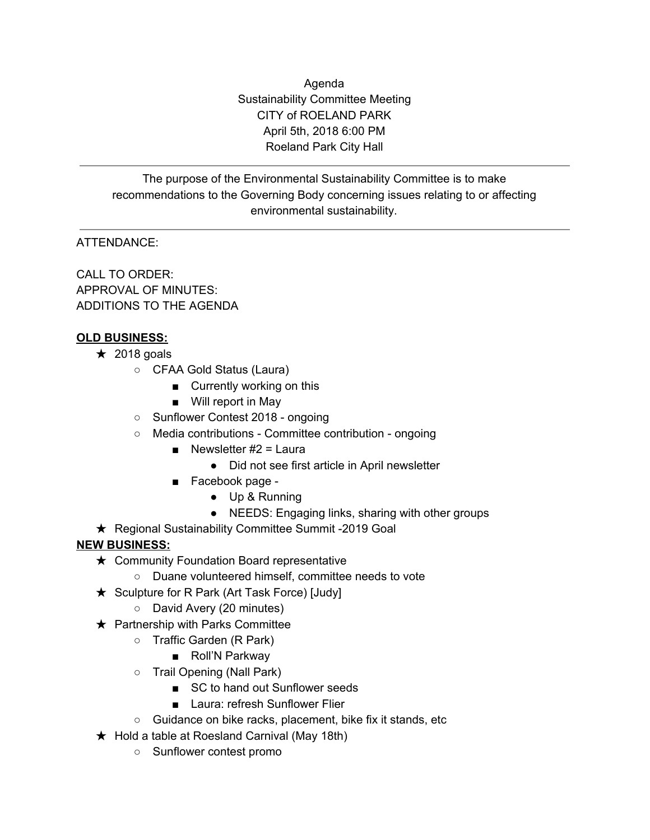Agenda Sustainability Committee Meeting CITY of ROELAND PARK April 5th, 2018 6:00 PM Roeland Park City Hall

The purpose of the Environmental Sustainability Committee is to make recommendations to the Governing Body concerning issues relating to or affecting environmental sustainability.

# ATTENDANCE:

CALL TO ORDER: APPROVAL OF MINUTES: ADDITIONS TO THE AGENDA

### **OLD BUSINESS:**

- $\star$  2018 goals
	- CFAA Gold Status (Laura)
		- Currently working on this
		- Will report in May
	- Sunflower Contest 2018 ongoing
	- Media contributions Committee contribution ongoing
		- **■** Newsletter  $#2 =$  Laura
			- Did not see first article in April newsletter
		- Facebook page -
			- Up & Running
			- NEEDS: Engaging links, sharing with other groups
- ★ Regional Sustainability Committee Summit -2019 Goal

## **NEW BUSINESS:**

- **★ Community Foundation Board representative** 
	- Duane volunteered himself, committee needs to vote
- ★ Sculpture for R Park (Art Task Force) [Judy]
	- David Avery (20 minutes)
- $\star$  Partnership with Parks Committee
	- Traffic Garden (R Park)
		- Roll'N Parkway
	- Trail Opening (Nall Park)
		- SC to hand out Sunflower seeds
		- Laura: refresh Sunflower Flier
	- Guidance on bike racks, placement, bike fix it stands, etc
- $\star$  Hold a table at Roesland Carnival (May 18th)
	- Sunflower contest promo